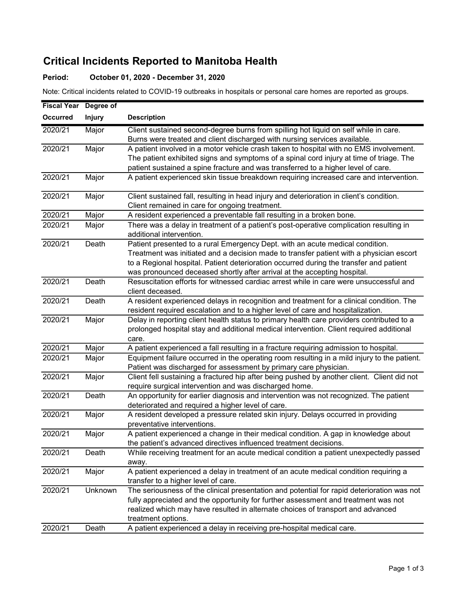## Critical Incidents Reported to Manitoba Health

## Period: October 01, 2020 - December 31, 2020

Note: Critical incidents related to COVID-19 outbreaks in hospitals or personal care homes are reported as groups.

| <b>Fiscal Year</b> | Degree of     |                                                                                             |
|--------------------|---------------|---------------------------------------------------------------------------------------------|
| <b>Occurred</b>    | <b>Injury</b> | <b>Description</b>                                                                          |
| 2020/21            | Major         | Client sustained second-degree burns from spilling hot liquid on self while in care.        |
|                    |               | Burns were treated and client discharged with nursing services available.                   |
| 2020/21            | Major         | A patient involved in a motor vehicle crash taken to hospital with no EMS involvement.      |
|                    |               | The patient exhibited signs and symptoms of a spinal cord injury at time of triage. The     |
|                    |               | patient sustained a spine fracture and was transferred to a higher level of care.           |
| 2020/21            | Major         | A patient experienced skin tissue breakdown requiring increased care and intervention.      |
| 2020/21            | Major         | Client sustained fall, resulting in head injury and deterioration in client's condition.    |
|                    |               | Client remained in care for ongoing treatment.                                              |
| 2020/21            | Major         | A resident experienced a preventable fall resulting in a broken bone.                       |
| 2020/21            | Major         | There was a delay in treatment of a patient's post-operative complication resulting in      |
|                    |               | additional intervention.                                                                    |
| 2020/21            | Death         | Patient presented to a rural Emergency Dept. with an acute medical condition.               |
|                    |               | Treatment was initiated and a decision made to transfer patient with a physician escort     |
|                    |               | to a Regional hospital. Patient deterioration occurred during the transfer and patient      |
|                    |               | was pronounced deceased shortly after arrival at the accepting hospital.                    |
| 2020/21            | Death         | Resuscitation efforts for witnessed cardiac arrest while in care were unsuccessful and      |
|                    |               | client deceased.                                                                            |
| 2020/21            | Death         | A resident experienced delays in recognition and treatment for a clinical condition. The    |
|                    |               | resident required escalation and to a higher level of care and hospitalization.             |
| 2020/21            | Major         | Delay in reporting client health status to primary health care providers contributed to a   |
|                    |               | prolonged hospital stay and additional medical intervention. Client required additional     |
|                    |               | care.                                                                                       |
| 2020/21            | Major         | A patient experienced a fall resulting in a fracture requiring admission to hospital.       |
| 2020/21            | Major         | Equipment failure occurred in the operating room resulting in a mild injury to the patient. |
|                    |               | Patient was discharged for assessment by primary care physician.                            |
| 2020/21            | Major         | Client fell sustaining a fractured hip after being pushed by another client. Client did not |
|                    |               | require surgical intervention and was discharged home.                                      |
| 2020/21            | Death         | An opportunity for earlier diagnosis and intervention was not recognized. The patient       |
|                    |               | deteriorated and required a higher level of care.                                           |
| 2020/21            | Major         | A resident developed a pressure related skin injury. Delays occurred in providing           |
|                    |               | preventative interventions.                                                                 |
| 2020/21            | Major         | A patient experienced a change in their medical condition. A gap in knowledge about         |
|                    |               | the patient's advanced directives influenced treatment decisions.                           |
| 2020/21            | Death         | While receiving treatment for an acute medical condition a patient unexpectedly passed      |
|                    |               | away.                                                                                       |
| 2020/21            | Major         | A patient experienced a delay in treatment of an acute medical condition requiring a        |
|                    |               | transfer to a higher level of care.                                                         |
| 2020/21            | Unknown       | The seriousness of the clinical presentation and potential for rapid deterioration was not  |
|                    |               | fully appreciated and the opportunity for further assessment and treatment was not          |
|                    |               | realized which may have resulted in alternate choices of transport and advanced             |
|                    |               | treatment options.                                                                          |
| 2020/21            | Death         | A patient experienced a delay in receiving pre-hospital medical care.                       |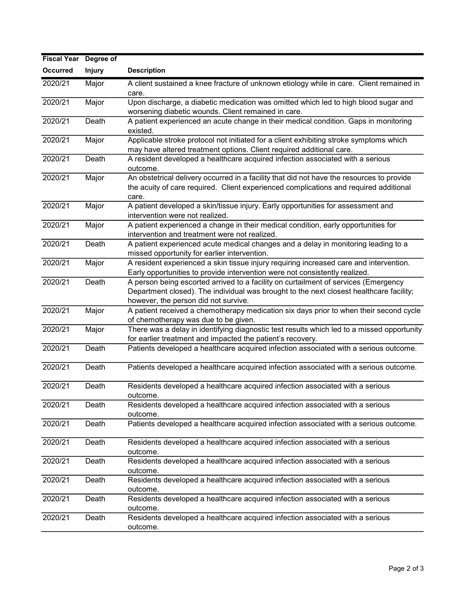| <b>Fiscal Year</b> | Degree of     |                                                                                            |
|--------------------|---------------|--------------------------------------------------------------------------------------------|
| <b>Occurred</b>    | <b>Injury</b> | <b>Description</b>                                                                         |
| 2020/21            | Major         | A client sustained a knee fracture of unknown etiology while in care. Client remained in   |
|                    |               | care.                                                                                      |
| 2020/21            | Major         | Upon discharge, a diabetic medication was omitted which led to high blood sugar and        |
|                    |               | worsening diabetic wounds. Client remained in care.                                        |
| 2020/21            | Death         | A patient experienced an acute change in their medical condition. Gaps in monitoring       |
|                    |               | existed.                                                                                   |
| 2020/21            | Major         | Applicable stroke protocol not initiated for a client exhibiting stroke symptoms which     |
|                    |               | may have altered treatment options. Client required additional care.                       |
| 2020/21            | Death         | A resident developed a healthcare acquired infection associated with a serious             |
|                    |               | outcome.                                                                                   |
| 2020/21            | Major         | An obstetrical delivery occurred in a facility that did not have the resources to provide  |
|                    |               | the acuity of care required. Client experienced complications and required additional      |
|                    |               | care.                                                                                      |
| 2020/21            | Major         | A patient developed a skin/tissue injury. Early opportunities for assessment and           |
|                    |               | intervention were not realized.                                                            |
| 2020/21            | Major         | A patient experienced a change in their medical condition, early opportunities for         |
|                    |               | intervention and treatment were not realized.                                              |
| 2020/21            | Death         | A patient experienced acute medical changes and a delay in monitoring leading to a         |
|                    |               | missed opportunity for earlier intervention.                                               |
| 2020/21            | Major         | A resident experienced a skin tissue injury requiring increased care and intervention.     |
|                    |               | Early opportunities to provide intervention were not consistently realized.                |
| 2020/21            | Death         | A person being escorted arrived to a facility on curtailment of services (Emergency        |
|                    |               | Department closed). The individual was brought to the next closest healthcare facility;    |
|                    |               | however, the person did not survive.                                                       |
| 2020/21            | Major         | A patient received a chemotherapy medication six days prior to when their second cycle     |
|                    |               | of chemotherapy was due to be given.                                                       |
| 2020/21            | Major         | There was a delay in identifying diagnostic test results which led to a missed opportunity |
|                    |               | for earlier treatment and impacted the patient's recovery.                                 |
| 2020/21            | Death         | Patients developed a healthcare acquired infection associated with a serious outcome.      |
| 2020/21            | Death         | Patients developed a healthcare acquired infection associated with a serious outcome.      |
|                    |               |                                                                                            |
| 2020/21            | Death         | Residents developed a healthcare acquired infection associated with a serious              |
|                    |               | outcome.                                                                                   |
| 2020/21            | Death         | Residents developed a healthcare acquired infection associated with a serious              |
|                    |               | outcome.                                                                                   |
| 2020/21            | Death         | Patients developed a healthcare acquired infection associated with a serious outcome.      |
|                    |               |                                                                                            |
| 2020/21            | Death         | Residents developed a healthcare acquired infection associated with a serious              |
|                    |               | outcome.                                                                                   |
| 2020/21            | Death         | Residents developed a healthcare acquired infection associated with a serious              |
|                    |               | outcome.                                                                                   |
| 2020/21            | Death         | Residents developed a healthcare acquired infection associated with a serious              |
|                    |               | outcome.                                                                                   |
| 2020/21            | Death         | Residents developed a healthcare acquired infection associated with a serious              |
|                    |               | outcome.                                                                                   |
| 2020/21            | Death         | Residents developed a healthcare acquired infection associated with a serious              |
|                    |               | outcome.                                                                                   |